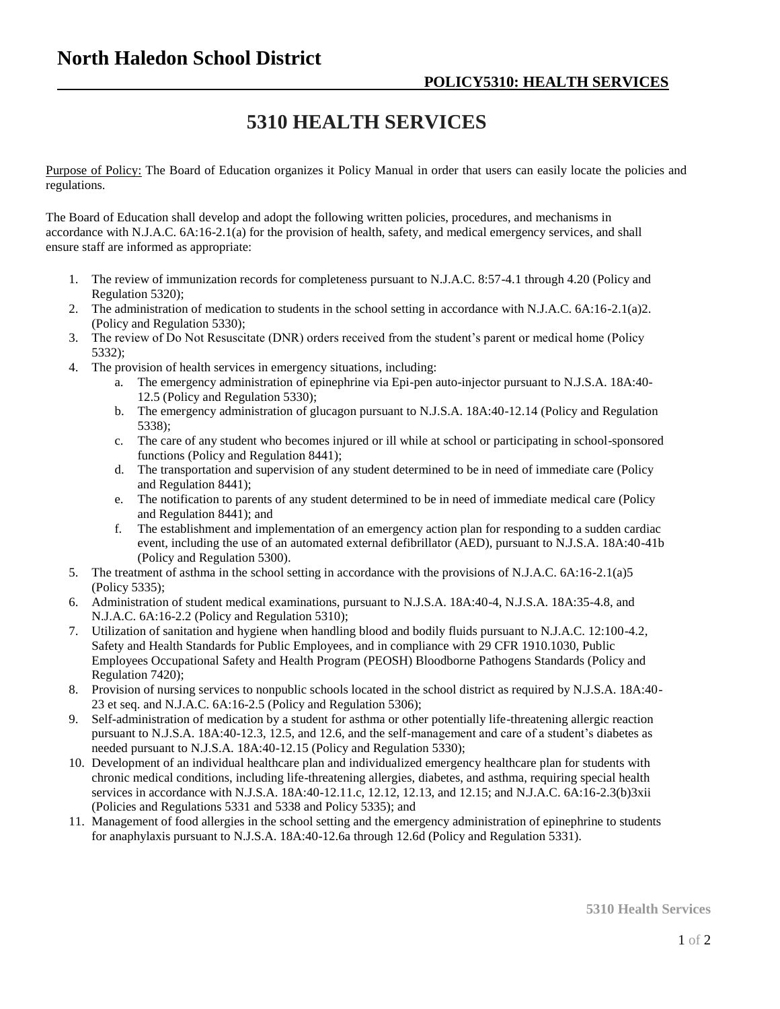## **5310 HEALTH SERVICES**

Purpose of Policy: The Board of Education organizes it Policy Manual in order that users can easily locate the policies and regulations.

The Board of Education shall develop and adopt the following written policies, procedures, and mechanisms in accordance with N.J.A.C. 6A:16-2.1(a) for the provision of health, safety, and medical emergency services, and shall ensure staff are informed as appropriate:

- 1. The review of immunization records for completeness pursuant to N.J.A.C. 8:57-4.1 through 4.20 (Policy and Regulation 5320);
- 2. The administration of medication to students in the school setting in accordance with N.J.A.C. 6A:16-2.1(a)2. (Policy and Regulation 5330);
- 3. The review of Do Not Resuscitate (DNR) orders received from the student's parent or medical home (Policy 5332);
- 4. The provision of health services in emergency situations, including:
	- a. The emergency administration of epinephrine via Epi-pen auto-injector pursuant to N.J.S.A. 18A:40- 12.5 (Policy and Regulation 5330);
	- b. The emergency administration of glucagon pursuant to N.J.S.A. 18A:40-12.14 (Policy and Regulation 5338);
	- c. The care of any student who becomes injured or ill while at school or participating in school-sponsored functions (Policy and Regulation 8441);
	- d. The transportation and supervision of any student determined to be in need of immediate care (Policy and Regulation 8441);
	- e. The notification to parents of any student determined to be in need of immediate medical care (Policy and Regulation 8441); and
	- f. The establishment and implementation of an emergency action plan for responding to a sudden cardiac event, including the use of an automated external defibrillator (AED), pursuant to N.J.S.A. 18A:40-41b (Policy and Regulation 5300).
- 5. The treatment of asthma in the school setting in accordance with the provisions of N.J.A.C. 6A:16-2.1(a)5 (Policy 5335);
- 6. Administration of student medical examinations, pursuant to N.J.S.A. 18A:40-4, N.J.S.A. 18A:35-4.8, and N.J.A.C. 6A:16-2.2 (Policy and Regulation 5310);
- 7. Utilization of sanitation and hygiene when handling blood and bodily fluids pursuant to N.J.A.C. 12:100-4.2, Safety and Health Standards for Public Employees, and in compliance with 29 CFR 1910.1030, Public Employees Occupational Safety and Health Program (PEOSH) Bloodborne Pathogens Standards (Policy and Regulation 7420);
- 8. Provision of nursing services to nonpublic schools located in the school district as required by N.J.S.A. 18A:40- 23 et seq. and N.J.A.C. 6A:16-2.5 (Policy and Regulation 5306);
- 9. Self-administration of medication by a student for asthma or other potentially life-threatening allergic reaction pursuant to N.J.S.A. 18A:40-12.3, 12.5, and 12.6, and the self-management and care of a student's diabetes as needed pursuant to N.J.S.A. 18A:40-12.15 (Policy and Regulation 5330);
- 10. Development of an individual healthcare plan and individualized emergency healthcare plan for students with chronic medical conditions, including life-threatening allergies, diabetes, and asthma, requiring special health services in accordance with N.J.S.A. 18A:40-12.11.c, 12.12, 12.13, and 12.15; and N.J.A.C. 6A:16-2.3(b)3xii (Policies and Regulations 5331 and 5338 and Policy 5335); and
- 11. Management of food allergies in the school setting and the emergency administration of epinephrine to students for anaphylaxis pursuant to N.J.S.A. 18A:40-12.6a through 12.6d (Policy and Regulation 5331).